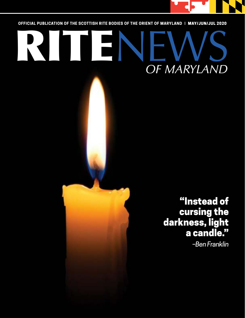

**OFFICIAL PUBLICATION OF THE SCOTTISH RITE BODIES OF THE ORIENT OF MARYLAND |** MAY/JUN/JUL 2020

# OFFICIAL PUBLICATION OF THE SCOTTISH RITE BODIES OF THE ORIENT OF MARYLAND | MAY/JUN/JUL 2020 *OF MARYLAND*

### "Instead of cursing the darkness, light a candle."

*–Ben Franklin*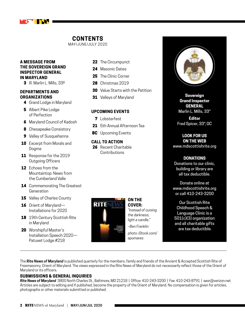

### **CONTENTS**

MAY/JUNE/JULY 2020

### **A MESSAGE FROM THE SOVEREIGN GRAND INSPECTOR GENERAL IN MARYLAND**

3 III. Marlin L. Mills, 33º

#### **DEPARTMENTS AND ORGANIZATIONS**

- 4 Grand Lodge in Maryland
- **5** Albert Pike Lodge of Perfection
- **6** Maryland Council of Kadosh
- 8 Chesapeake Consistory
- **9** Valley of Susquehanna
- **10** Excerpt from Morals and Dogma
- 11 Response for the 2019 Outgoing Officers
- 12 Echoes from the Mountaintop: News from the Cumberland Valle
- **14** Commemorating The Greatest Generation
- 15 Valley of Charles County
- 16 Orient of Maryland— Installations for 2020
- 18 19th Century Scottish Rite in Maryland
- 20 Worshipful Master's Installation Speech 2020— Patuxet Lodge #218
- 22 The Circumpunct
- 24 Masonic Dates
- 25 The Clinic Corner
- 28 Christmas 2019
- **30** Value Starts with the Petition
- **31** Valleys of Maryland

### **UPCOMING EVENTS**

- 7 Lobsterfest
- 21 5th Annual Afternoon Tea
- **BC** Upcoming Events

### **CALL TO ACTION**

26 Recent Charitable **Contributions** 



#### **ON THE COVER:**  *"Instead of cursing the darkness,*

*light a candle."*

*–Ben Franklin photo: iStock.com/ apomares*



**Sovereign Grand Inspector GENERAL** Marlin L. Mills, 33°

**Editor** Fred Spicer, 33°, GC

#### **LOOK FOR US ON THE WEB**

www.mdscottishrite.org

#### **DONATIONS**

Donations to our clinic, building or library are all tax deductible.

Donate online at www.mdscottishrite.org or call 410-243-3200

Our Scottish Rite Childhood Speech & Language Clinic is a 501(c)(3) organization and all charitable gifts are tax deductible.

The *Rite News of Maryland* is published quarterly for the members, family and friends of the Ancient & Accepted Scottish Rite of Freemasonry, Orient of Maryland. The views expressed in the Rite News of Maryland do not necessarily reflect those of the Orient of Maryland or its officers.

### **SUBMISSIONS & GENERAL INQUIRIES**

*Rite News of Maryland* 3800 North Charles St., Baltimore, MD 21218 | Office: 410-243-3200 | Fax: 410-243-8791 | aasr@verizon.net. Articles are subject to editing and if published, become the property of the Orient of Maryland. No compensation is given for articles, photographs or other materials submitted or published.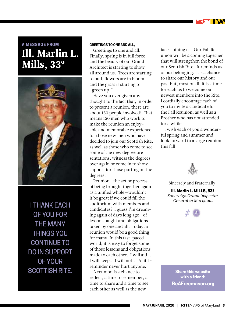

### **A MESSAGE FROM** Ill. Marlin L. Mills, 33º



I THANK EACH OF YOU FOR THE MANY THINGS YOU CONTINUE TO DO IN SUPPORT OF YOUR SCOTTISH RITE.

#### **GREETINGS TO ONE AND ALL,**

Greetings to one and all. Finally, spring is in full force and the beauty of our Grand Architect is starting to show all around us. Trees are starting to bud, flowers are in bloom and the grass is starting to "green up."

Have you ever given any thought to the fact that, in order to present a reunion, there are about 150 people involved? That means 150 men who work to make the reunion an enjoyable and memorable experience for those new men who have decided to join our Scottish Rite: as well as those who come to see some of the new degree presentations, witness the degrees over again or come in to show support for those putting on the degrees.

Reunion—the act or process of being brought together again as a unified whole—wouldn't it be great if we could fill the auditorium with members and candidates? I guess I'm dreaming again of days long ago—of lessons taught and obligations taken by one and all. Today, a reunion would be a good thing for many. In this fast-paced world, it is easy to forget some of those lessons and obligations made to each other. I will aid... I will keep... I will not... A little reminder never hurt anyone.

A reunion is a chance to reflect, a time to remember, a time to share and a time to see each other as well as the new

faces joining us. Our Fall Reunion will be a coming together that will strengthen the bond of our Scottish Rite. It reminds us of our belonging. It's a chance to share our history and our past but, most of all, it is a time for each us to welcome our newest members into the Rite. I cordially encourage each of you to invite a candidate for the Fall Reunion, as well as a Brother who has not attended for a while.

I wish each of you a wonder ful spring and summer and look forward to a large reunion this fall.



Sincerely and Fraternally,

Ill. Marlin L. MILLS, 33º *Sovereign Grand Inspector General in Maryland*



**Share this website with a friend: BeAFreemason.org**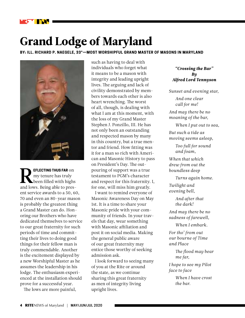

# Grand Lodge of Maryland

**BY: ILL. RICHARD P. NAEGELE, 33°—MOST WORSHIPFUL GRAND MASTER OF MASONS IN MARYLAND**



R **EFLECTING THUS FAR** on my tenure has truly been filled with highs and lows. Being able to present service awards to a 50, 60, 70 and even an 80-year mason is probably the greatest thing a Grand Master can do. Honoring our Brothers who have dedicated themselves to service to our great fraternity for such periods of time and committing their lives to doing good things for their fellow man is truly commendable. Another is the excitement displayed by a new Worshipful Master as he assumes the leadership in his lodge. The enthusiasm experienced at the installation should prove for a successful year.

The lows are more painful,

such as having to deal with individuals who forget what it means to be a mason with integrity and leading upright lives. The arguing and lack of civility demonstrated by members towards each other is also heart wrenching. The worst of all, though, is dealing with what I am at this moment, with the loss of my Grand Master Stephen J. Ponzillo, III. He has not only been an outstanding and respected mason by many in this country, but a true mentor and friend. How fitting was it for a man so rich with American and Masonic History to pass on President's Day. The outpouring of support was a true testament to PGM's character and respect for this fraternity. I, for one, will miss him greatly.

I want to remind everyone of Masonic Awareness Day on May 1st. It is a time to share your Masonic pride with your community of friends. In your travels that day, wear something with Masonic affiliation and post it on social media. Making the general public aware of our great fraternity may entice those worthy of seeking admission ask.

I look forward to seeing many of you at the Rite or around the state, as we continue sharing this great fraternity as men of integrity living upright lives.

*"Crossing the Bar" By Alfred Lord Tennyson*

*Sunset and evening star, And one clear call for me! And may there be no moaning of the bar,*

 *When I put out to sea,*

*But such a tide as moving seems asleep,*

> *Too full for sound and foam,*

*When that which drew from out the boundless deep*

 *Turns again home.*

*Twilight and evening bell,*

> *And after that the dark!*

*And may there be no sadness of farewell,*

 *When I embark.*

*For tho' from out our bourne of Time and Place*

> *The flood may bear me far,*

*I hope to see my Pilot face to face*

> *When I have crost the bar.*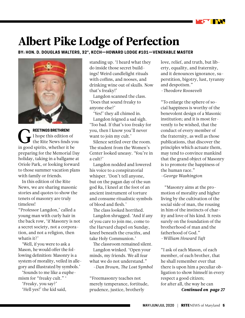

### Albert Pike Lodge of Perfection

### **BY: HON. D. DOUGLAS WALTERS, 32°, KCCH—HOWARD LODGE #101—VENERABLE MASTER**



G **REETINGS BRETHREN!**  I hope this edition of the Rite News finds you in good spirits, whether it be preparing for the Memorial Day holiday, taking in a ballgame at Oriole Park, or looking forward to those summer vacation plans with family or friends.

In this edition of the Rite News, we are sharing masonic stories and quotes to show the tenets of masonry are truly timeless!

"Professor Langdon,' called a young man with curly hair in the back row, 'if Masonry is not a secret society, not a corporation, and not a religion, then whatis it?'

'Well, if you were to ask a Mason, he would offer the following definition: Masonry is a system of morality, veiled in allegory and illustrated by symbols.'

'Sounds to me like a euphemism for "freaky cult." ' 'Freaky, you say?'

'Hell yes!' the kid said,

standing up. 'I heard what they do inside those secret buildings! Weird candlelight rituals with coffins, and nooses, and drinking wine out of skulls. Now that's freaky!'

Langdon scanned the class. 'Does that sound freaky to anyone else?'

'Yes!' they all chimed in.

Langdon feigned a sad sigh. 'Too bad. If that's too freaky for you, then I know you'll never want to join my cult.'

Silence settled over the room. The student from the Women's Center looked uneasy. 'You're in a cult?'

Langdon nodded and lowered his voice to a conspiratorial whisper. 'Don't tell anyone, but on the pagan day of the sun god Ra, I kneel at the foot of an ancient instrument of torture and consume ritualistic symbols of blood and flesh.'

The class looked horrified. Langdon shrugged. 'And if any of you care to join me, come to the Harvard chapel on Sunday,

kneel beneath the crucifix, and take Holy Communion.' The classroom remained silent.

Langdon winked. 'Open your minds, my friends. We all fear what we do not understand." *–Dan Brown, The Lost Symbol* 

"Freemasonry teaches not merely temperance, fortitude, prudence, justice, brotherly

love, relief, and truth, but liberty, equality, and fraternity, and it denounces ignorance, superstition, bigotry, lust, tyranny and despotism." *–Theodore Roosevelt* 

"To enlarge the sphere of social happiness is worthy of the benevolent design of a Masonic institution; and it is most fervently to be wished, that the conduct of every member of the fraternity, as well as those publications, that discover the principles which actuate them, may tend to convince mankind that the grand object of Masonry is to promote the happiness of the human race."

*–George Washington*

"Masonry aims at the promotion of morality and higher living by the cultivation of the social side of man, the rousing in him of the instincts of charity and love of his kind. It rests surely on the foundation of the brotherhood of man and the fatherhood of God." *–William Howard Taft*

"I ask of each Mason, of each member, of each brother, that he shall remember ever that there is upon him a peculiar obligation to show himself in every respect a good citizen; for after all, the way he can *Continued on page 27*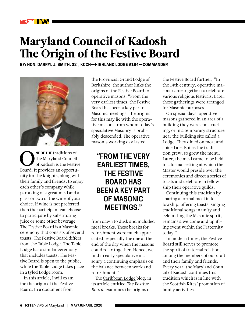# Maryland Council of Kadosh The Origin of the Festive Board

**BY: HON. DARRYL J. SMITH, 32°, KCCH—HIGHLAND LODGE #184—COMMANDER**



 $\overline{\mathbf{O}}$ **NE OF THE** traditions of the Maryland Council of Kadosh is the Festive Board. It provides an opportunity for the knights, along with their family and friends, to enjoy each other's company while partaking of a great meal and a glass or two of the wine of your choice. If wine is not preferred, then the participant can choose to participate by substituting juice or some other beverage. The Festive Board is a Masonic ceremony that consists of several toasts. The Festive Board differs from the Table Lodge. The Table Lodge has a similar ceremony that includes toasts. The Festive Board is open to the public, while the Table Lodge takes place in a tyled Lodge room.

In this article, I will examine the origin of the Festive Board. In a document from

the Provincial Grand Lodge of Berkshire, the author links the origins of the Festive Board to operative masons. "From the very earliest times, the Festive Board has been a key part of Masonic meetings. The origins for this may lie with the operative masons from whom today's speculative Masonry is probably descended. The operative mason's working day lasted

### **"FROM THE VERY EARLIEST TIMES, THE FESTIVE BOARD HAS BEEN A KEY PART OF MASONIC MEETINGS."**

from dawn to dusk and included meal breaks. These breaks for refreshment were much appreciated, especially the one at the end of the day when the masons could relax together. Hence, we find in early speculative masonry a continuing emphasis on the balance between work and refreshment."

The Caribbean Lodge blog, in its article entitled *The Festive Board*, examines the origins of

the Festive Board further, "In the 14th century, operative masons came together to celebrate various religious festivals. Later, these gatherings were arranged for Masonic purposes.

On special days, operative masons gathered in an area of a building they were constructing, or in a temporary structure near the building site called a Lodge. They dined on meat and spiced ale. But as the tradition grew, so grew the menu. Later, the meal came to be held in a formal setting at which the Master would preside over the ceremonies and direct a series of toasts and celebrate in fellowship their operative guilds.

Continuing this tradition by sharing a formal meal in fellowship, offering toasts, singing traditional songs in unity and celebrating the Masonic spirit, remains a welcome and uplifting event within the Fraternity today."

In modern times, the Festive Board still serves to promote the spirit of fraternal relations among the members of our craft and their family and friends. Every year, the Maryland Council of Kadosh continues this tradition which is in line with the Scottish Rites' promotion of family activities.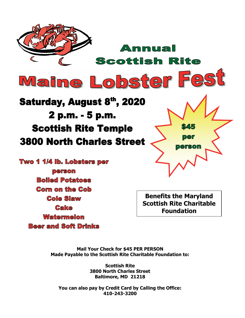

**Mail Your Check for \$45 PER PERSON Made Payable to the Scottish Rite Charitable Foundation to:** 

> **Scottish Rite 3800 North Charles Street Baltimore, MD 21218**

**You can also pay by Credit Card by Calling the Office: 410-243-3200**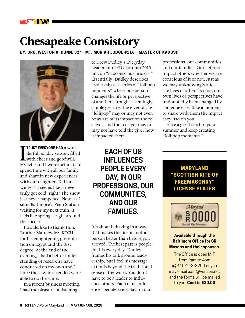

### Chesapeake Consistory

### **BY: BRO. WESTON A. DUNN, 32°—MT. MORIAH LODGE #116—MASTER OF KADOSH**



I **TRUST EVERYONE HAD** a wonderful holiday season, filled with cheer and goodwill. My wife and I were fortunate to spend time with all our family and share in new experiences with our daughter. Did I miss winter? It seems like it never truly got cold, right? The snow just never happened. Now, as I sit in Baltimore's Penn Station waiting for my next train, it feels like spring is right around the corner.

I would like to thank Hon. Brother Matulewicz, KCCH, for his enlightening presentation on Egypt and the 31st degree. At the end of the evening, I had a better understanding of research I have conducted on my own and I hope those who attended were able to do the same.

In a recent business meeting, I had the pleasure of listening

to Drew Dudley's Everyday Leadership TEDx Toronto 2010 talk on "subconscious leaders." Essentially, Dudley describes leadership as a series of "lollipop moments" where one person changes the life or perspective of another through a seemingly simple gesture. The giver of the "lollipop" may or may not even be aware of its impact on the receiver, and the receiver may or may not have told the giver how it impacted them.

**EACH OF US INFLUENCES PEOPLE EVERY DAY, IN OUR PROFESSIONS, OUR COMMUNITIES, AND OUR FAMILIES.**

It's about behaving in a way that makes the life of another person better than before you arrived. The best part is people do this every day. Dudley frames his talk around leadership, but I feel his message extends beyond the traditional sense of the word. You don't have to be a leader to influence others. Each of us influences people every day, in our

professions, our communities, and our families. Our actions impact others whether we are conscious of it or not. Just as we may unknowingly affect the lives of others, so too, our own lives or perspectives have undoubtedly been changed by someone else. Take a moment to share with them the impact they had on you.

Have a great start to your summer and keep creating "lollipop moments."

> **MARYLAND "SCOTTISH RITE OF FREEMASONRY" LICENSE PLATES**



### **Available through the Baltimore Office for SR Masons and their spouses.**

The Office is open M-F from 9am to 4pm @ 410-243-3200 or you may email aasr@verizon.net and the forms will be mailed to you. **Cost is \$30.00**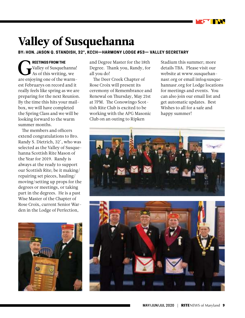

# Valley of Susquehanna

### **BY: HON. JASON Q. STANDISH, 32°, KCCH—HARMONY LODGE #53— VALLEY SECRETARY**

G **REETINGS FROM THE** Valley of Susquehanna! As of this writing, we are enjoying one of the warmest Februarys on record and it really feels like spring as we are preparing for the next Reunion. By the time this hits your mailbox, we will have completed the Spring Class and we will be looking forward to the warm summer months.

The members and officers extend congratulations to Bro. Randy S. Dietrich, 32°, who was selected as the Valley of Susquehanna Scottish Rite Mason of the Year for 2019. Randy is always at the ready to support our Scottish Rite; be it making/ repairing set pieces, hauling/ moving/setting up props for the degrees or meetings, or taking part in the degrees. He is a past Wise Master of the Chapter of Rose Croix, current Senior Warden in the Lodge of Perfection,



and Degree Master for the 18th Degree. Thank you, Randy, for all you do!

The Deer Creek Chapter of Rose Croix will present its ceremony of Remembrance and Renewal on Thursday, May 21st at 7PM. The Conowingo Scottish Rite Club is excited to be working with the APG Masonic Club on an outing to Ripken

Stadium this summer; more details TBA. Please visit our website at www.susquehannasr.org or email info@susquehannasr.org for Lodge locations for meetings and events. You can also join our email list and get automatic updates. Best Wishes to all for a safe and happy summer!



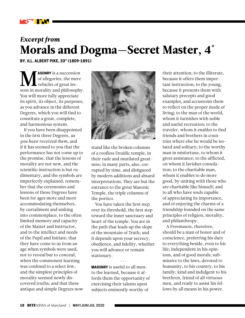

### *Excerpt from*  Morals and Dogma—Secret Master, 4°

**BY. ILL. ALBERT PIKE, 33° (1809-1891)**

M **ASONRY** is a succession of allegories, the mere vehicles of great lessons in morality and philosophy. You will more fully appreciate its spirit, its object, its purposes, as you advance in the different Degrees, which you will find to constitute a great, complete, and harmonious system.

If you have been disappointed in the first three Degrees, *as you have received them*, and if it has seemed to you that the performance has not come up to the promise, that the lessons of morality are not new, and the scientific instruction is but rudimentary, and the symbols are imperfectly explained, remember that the ceremonies and lessons of those Degrees have been for ages more and more accommodating themselves, by curtailment and sinking into commonplace, to the often limited memory and capacity of the Master and Instructor, and to the intellect and needs of the Pupil and Initiate; that they have come to us from an age when symbols were used, not to *reveal* but to *conceal*; when the commonest learning was confined to a select few, and the simplest principles of morality seemed newly discovered truths; and that these antique and simple Degrees now



stand like the broken columns of a roofless Druidic temple, in their rude and mutilated greatness; in many parts, also, corrupted by time, and disfigured by modern additions and absurd interpretations. They are but the entrance to the great Masonic Temple, the triple columns of the portico.

You have taken the first step over its threshold, the first step toward the inner sanctuary and heart of the temple. You are in the path that leads up the slope of the mountain of Truth; and it depends upon your secrecy, obedience, and fidelity, whether you will advance or remain stationary.

**MASONRY** is useful to all men: to the learned, because it affords them the opportunity of exercising their talents upon subjects eminently worthy of

. . .

their attention; to the illiterate, because it offers them important instruction; to the young, because it presents them with salutary precepts and good examples, and accustoms them to reflect on the proper mode of living; to the man of the world, whom it furnishes with noble and useful recreation; to the traveler, whom it enables to find friends and brothers in countries where else he would be isolated and solitary; to the worthy man in misfortune, to whom it gives assistance; to the afflicted, on whom it lavishes consolation; to the charitable man, whom it enables to do more good, by uniting with those who are charitable like himself; and to all who have souls capable of appreciating its importance, and of enjoying the charms of a friendship founded on the same principles of religion, morality, and philanthropy.

A Freemason, therefore, should be a man of honor and of conscience, preferring his duty to everything beside, even to his life; independent in his opinions, and of good morals; submissive to the laws, devoted to humanity, to his country, to his family; kind and indulgent to his brethren, friend of all virtuous men, and ready to assist his fellows by all means in his power.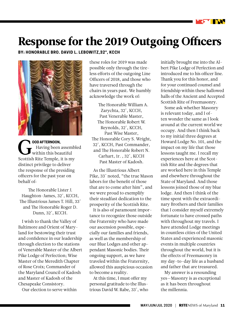

### Response for the 2019 Outgoing Officers

### **BY: HONORABLE BRO. DAVID L. LEBOWITZ,32°, KCCH**



G **OOD AFTERNOON,** Having been assembled within this beautiful Scottish Rite Temple, it is my distinct privilege to deliver the response of the presiding officers for the past year on behalf of:

The Honorable Lister J. Haughton-James, 32°, KCCH, The Illustrious James T. Hill, 33° and The Honorable Roger D. Dunn, 32°, KCCH.

I wish to thank the Valley of Baltimore and Orient of Maryland for bestowing their trust and confidence in our leadership through election to the stations of Venerable Master of the Albert Pike Lodge of Perfection; Wise Master of the Meredith Chapter of Rose Croix; Commander of the Maryland Council of Kadosh and Master of Kadosh of the Chesapeake Consistory.

Our election to serve within

these roles for 2019 was made possible only through the tireless efforts of the outgoing Line Officers of 2018, and those who have traversed through the chairs in years past. We humbly acknowledge the work of:

The Honorable William A. Zarychta, 32°, KCCH, Past Venerable Master, The Honorable Robert W. Reynolds, 32°, KCCH, Past Wise Master, The Honorable Cory S. Wright, 32°, KCCH, Past Commander, and The Honorable Robert N. Carhart, 1r. , 32°, KCCH Past Master of Kadosh.

As the Illustrious Albert Pike, 33° noted, "the true Mason labors for the benefit of those that are to come after him", and we were proud to exemplify their steadfast dedication to the prosperity of the Scottish Rite.

It is also of paramount importance to recognize those outside the Fraternity who have made our ascension possible, especially our families and friends, as well as the membership of our Blue Lodges and other appendant Masonic bodies. Their ongoing support, as we have traveled within the Fraternity, allowed this auspicious occasion to become a reality.

At this time, I must offer my personal gratitude to the Illustrious David W. Rabe, 33°, who initially brought me into the Albert Pike Lodge of Perfection and introduced me to his officer line. Thank you for this honor, and for your continued counsel and friendship within these hallowed halls of the Ancient and Accepted Scottish Rite of Freemasonry.

Some ask whether Masonry is relevant today, and I often wonder the same as I look around at the current world we occupy. And then I think back to my initial three degrees at Howard Lodge No. 101, and the impact on my life that those lessons taught me. I recall my experiences here at the Scottish Rite and the degrees that are worked here in this Temple and elsewhere throughout the State of Maryland. And those lessons joined those of my blue lodge. And then I think of the time spent with the extraordinary Brothers and their families that I consider myself extremely fortunate to have crossed paths with throughout my travels. I have attended Lodge meetings in countless cities of the United States and experienced masonic events in multiple countries throughout the world, but it is the effects of Freemasonry in my day-to-day life as a husband and father that are treasured.

My answer is a resounding yes—Masonry is as exceptional as it has been throughout the millennia.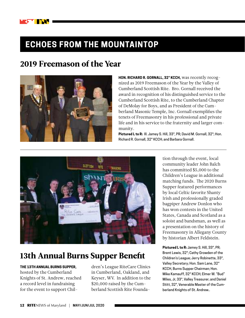

### **ECHOES FROM THE MOUNTAINTOP**

### 2019 Freemason of the Year



**HON. RICHARD R. GORNALL, 32° KCCH,** was recently recognized as 2019 Freemason of the Year by the Valley of Cumberland Scottish Rite. Bro. Gornall received the award in recognition of his distinguished service to the Cumberland Scottish Rite, to the Cumberland Chapter of DeMolay for Boys, and as President of the Cumberland Masonic Temple, Inc. Gornall exemplifies the tenets of Freemasonry in his professional and private life and in his service to the fraternity and larger community.

**Pictured L to R:** Ill. Jamey S. Hill, 33°, PR; David M. Gornall, 32°; Hon. Richard R. Gornall, 32° KCCH; and Barbara Gornall.



### 13th Annual Burns Supper Benefit

**THE 13TH ANNUAL BURNS SUPPER,** hosted by the Cumberland Knights of St. Andrew, reached a record level in fundraising for the event to support Children's League RiteCare Clinics in Cumberland, Oakland, and Keyser, WV. In addition to the \$20,000 raised by the Cumberland Scottish Rite Foundation through the event, local community leader John Balch has committed \$5,000 to the Children's League in additional matching funds. The 2020 Burns Supper featured performances by local Celtic favorite Shanty Irish and professionally graded bagpiper Andrew Donlon who has won contests in the United States, Canada and Scotland as a soloist and bandsman, as well as a presentation on the history of Freemasonry in Allegany County by historian Albert Feldstein.

**Pictured L to R:** Jamey S. Hill, 33°, PR; Brent Lewis, 32°; Cathy Growden of the Children's League; Jerry Robinette, 33°, Valley Secretary; Hon. Sam Lane, 32° KCCH, Burns Supper Chairman; Hon. Mike Kamauff, 32° KCCH; Elmer W. "Bud" Miles, Jr, 33°, Valley Treasurer; and Daniel Stitt, 32°, Venerable Master of the Cumberland Knights of St. Andrew..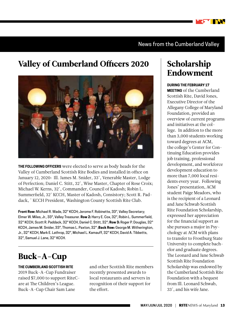

### Valley of Cumberland Officers 2020 Scholarship



**THE FOLLOWING OFFICERS** were elected to serve as body heads for the Valley of Cumberland Scottish Rite Bodies and installed in office on January 12, 2020: Ill. James M. Snider, 33°, Venerable Master, Lodge of Perfection; Daniel C. Stitt, 32°, Wise Master, Chapter of Rose Croix; Michael W. Kerns, 32°, Commander, Council of Kadosh; Robin L. Summerfield, 32° KCCH, Master of Kadosh, Consistory; Scott R. Paddack, ° KCCH President, Washington County Scottish Rite Club.

**Front Row:** Michael R. Wade, 32° KCCH; Jerome F. Robinette, 33°, Valley Secretary; Elmer W. Miles, Jr., 33°, Valley Treasurer. **Row 2:** Harry E. Cox, 32°, Robin L. Summerfield, 32° KCCH, Scott R. Paddack, 32° KCCH, Daniel C. Stitt, 32°; **Row 3:** Roger P. Douglas, 32° KCCH, James M. Snider, 33°, Thomas L. Paxton, 32° ;**Back Row:** George M. Witherington, Jr., 32° KCCH, Mark E. Lathrop, 32°, Michael L. Kamauff, 32° KCCH, David A. Tibbetts, 32°, Samuel J. Lane, 32° KCCH.

### Buck-A-Cup

### **THE CUMBERLAND SCOTTISH RITE**

2019 Buck-A-Cup Fundraiser raised \$7,000 to support RiteCare at The Children's League. Buck-A-Cup Chair Sam Lane

and other Scottish Rite members recently presented awards to local restaurants and servers in recognition of their support for the effort.

# Endowment

### **DURING THE FEBRUARY 17**

**MEETING** of the Cumberland Scottish Rite, David Jones, Executive Director of the Allegany College of Maryland Foundation, provided an overview of current programs and initiatives at the college. In addition to the more than 3,000 students working toward degrees at ACM, the college's Center for Continuing Education provides job training, professional development, and workforce development education to more than 7,000 local residents every year. Following Jones' presentation, ACM student Paige Meadors, who is the recipient of a Leonard and Jane Schwab Scottish Rite Foundation Scholarship, expressed her appreciation for the financial support as she pursues a major in Psychology at ACM with plans to transfer to Frostburg State University to complete bachelor and graduate degrees. The Leonard and Jane Schwab Scottish Rite Foundation Scholarship was endowed by the Cumberland Scottish Rite Foundation with a bequest from Ill. Leonard Schwab, 33°, and his wife Jane.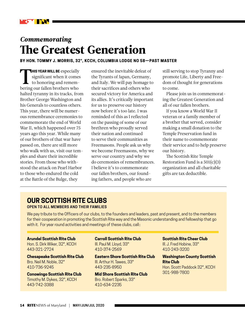

### *Commemorating*  The Greatest Generation

**BY HON. TOMMY J. MORRIS, 32°, KCCH, COLUMBIA LODGE NO 58—PAST MASTER**

T **HIS YEAR WILL BE** especially significant when it comes to honoring and remembering our fallen brothers who halted tyranny in its tracks, from Brother George Washington and his Generals to countless others. This year, there will be numerous remembrance ceremonies to commemorate the end of World War II, which happened over 75 years ago this year. While many of our brothers of that war have passed on, there are still more who walk with us, visit our temples and share their incredible stories. From those who withstood the attack on Pearl Harbor to those who endured the cold at the Battle of the Bulge, they

ensured the inevitable defeat of the Tyrants of Japan, Germany, and Italy. We will pay homage to their sacrifices and others who secured victory for America and its allies. It's critically important for us to preserve our history now before it's too late. I was reminded of this as I reflected on the passing of some of our brethren who proudly served their nation and continued to serve their communities as Freemasons. People ask us why we become Freemasons, why we serve our country and why we do ceremonies of remembrances. I believe it's to commemorate our fallen brothers, our founding fathers, and people who are

still serving to stop Tyranny and promote Life, Liberty and Freedom of thought for generations to come.

Please join us in commemorating the Greatest Generation and all of our fallen brothers.

If you know a World War II veteran or a family member of a brother that served, consider making a small donation to the Temple Preservation fund in their name to commemorate their service and to help preserve our history.

The Scottish Rite Temple Restoration Fund is a  $501(c)(3)$ organization and all charitable gifts are tax deductible.

### **OUR SCOTTISH RITE CLUBS OPEN TO ALL MEMBERS AND THEIR FAMILIES**

We pay tribute to the Officers of our clubs, to the founders and leaders, past and present, and to the members for their cooperation in promoting the Scottish Rite way and the Masonic understanding and fellowship that go with it. For year round activities and meetings of these clubs, call:

**Arundel Scottish Rite Club**  Hon. S. Dirk Wiker, 32°, KCCH 443-321-2724

**Chesapeake Scottish Rite Club**  Bro. Neil M. Noble, 32° 410-736-9245

**Conowingo Scottish Rite Club**  Timothy M. Dykes, 32°, KCCH 443-742-3388

**Carroll Scottish Rite Club**  Ill. Paul M. Lloyd, 33° 410-374-2569

**Eastern Shore Scottish Rite Club** Ill. Arthur H. Tawes, 33° 443-235-8950

**Mid Shore Scottish Rite Club**  Bro. Robert Sparks, 33° 410-634-2235

**Scottish Rite Cheer Club**  Ill. J. Fred Hobine, 33° 410-243-3200

**Washington County Scottish Rite Club**  Hon. Scott Paddock 32°, KCCH 301-988-7800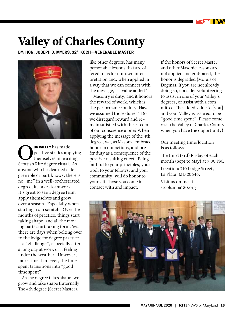

# Valley of Charles County

### **BY: HON. JOSEPH D. MYERS, 32°, KCCH—VENERABLE MASTER**



O **UR VALLEY** has made positive strides applying themselves in learning Scottish Rite degree ritual. As anyone who has learned a degree role or part knows, there is no "me" in a well-orchestrated degree, its takes teamwork. It's great to see a degree team apply themselves and grow over a season. Especially when starting from scratch. Over the months of practice, things start taking shape, and all the moving parts start taking form. Yes, there are days when bolting over to the lodge for degree practice is a "challenge", especially after a long day at work or if feeling under the weather. However, more time than ever, the time spent transitions into "good time spent".

As the degree takes shape, we grow and take shape fraternally. The 4th degree (Secret Master),

like other degrees, has many personable lessons that are offered to us for our own interpretation and, when applied in a way that we can connect with the message, is "value added".

Masonry is duty, and it honors the reward of work, which is the performance of duty. Have we assumed those duties? Do we disregard reward and remain satisfied with the esteem of our conscience alone? When applying the message of the 4th degree, we, as Masons, embrace honor in our actions, and prefer duty as a consequence of the positive resulting effect. Being faithful to your principles, your God, to your fellows, and your community, will do honor to yourself, those you come in contact with and impact.

If the honors of Secret Master and other Masonic lessons are not applied and embraced, the honor is degraded (Morals of Dogma). If you are not already doing so, consider volunteering to assist in one of your Valley's degrees, or assist with a committee. The added value to [you] and your Valley is assured to be "good time spent". Please come visit the Valley of Charles County when you have the opportunity!

Our meeting time/location is as follows:

The third (3rd) Friday of each month (Sept to May) at 7:30 PM.

Location: 710 Lodge Street, La Plata, MD 20646.

Visit us online at: stcolumba150.org

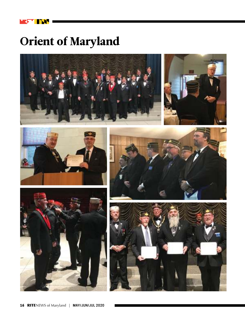

# Orient of Maryland











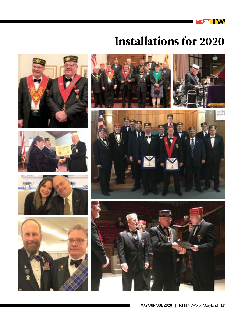**IN** æБ

# Installations for 2020















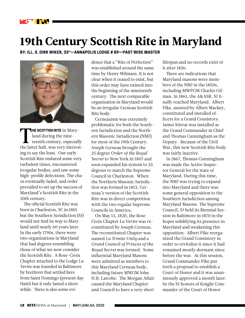

# 19th Century Scottish Rite in Maryland

#### **BY: ILL. S. DIRK WIKER, 33°—ANNAPOLIS LODGE # 89—PAST WISE MASTER**



 $\overline{\text{T}}$ **HE SCOTTISH RITE** in Maryland during the nineteenth century, especially the latter half, was very interesting to say the least. Our early Scottish Rite endured some very turbulent times, encountered irregular bodies, and saw some high-profile defections. The chaos eventually faded, and order prevailed to set up the success of Maryland's Scottish Rite in the 20th century.

The official Scottish Rite was born in Charleston, SC in 1801 but the Southern Jurisdiction (SJ) would not find its way to Maryland until nearly 60 years later. In the early 1790s, there were two organizations in Maryland that had degrees resembling those of what we now consider the Scottish Rite. A Rose-Croix Chapter attached to the Lodge *La Verite* was founded in Baltimore by brethren that settled here from Saint Domingo (present day Haiti) but it only lasted a short while. There is also some evidence that a "Rite of Perfection" was established around the same time by Henry Wilmans. It is not clear when it ceased to exist, but this order may have existed into the beginning of the nineteenth century. The next comparable organization in Maryland would be an irregular Cerneau Scottish Rite body.

Cerneauism was extremely problematic for both the Southern Jurisdiction and the Northern Masonic Jurisdiction (NMJ) for most of the 19th Century. Joseph Cerneau brought the 25 degree *Order of the Royal Secret* to New York in 1807 and soon expanded his system to 33 degrees to match the Supreme Council in Charleston. When the Northern Masonic Jurisdiction was formed in 1813, Cerneau's version of the Scottish Rite was in direct competition with the two regular Supreme Councils in America.

On May 15, 1820, the Rose Croix Chapter *La Verite* was reconstituted by Joseph Cerneau. The reconstituted Chapter was named *La Trinite Unity* and a *Grand Council of Princes of the Royal Secret* was formed. Some influential Maryland Masons were admitted as members to this Maryland Cerneau body, including future MWGM John H.B. Latrobe. The Morgan Affair caused the Maryland Chapter and Council to have a very short

lifespan and no records exist of it after 1826.

There are indications that Maryland masons were members of the NMJ in the 1850s, including MWPGM Charles Gilman. In 1861, the A&ASR, SJ finally reached Maryland. Albert Pike, assisted by Albert Mackey, constituted and installed officers for a Grand Consistory. James Stirrat was installed as the Grand Commander in Chief and Thomas Cunningham as the Deputy. Because of the Civil War, this new Scottish Rite body was fairly inactive.

In 1867, Thomas Cunningham was made the Active Inspector General for the state of Maryland. During this time, the NMJ was trying to expand into Maryland and there was some general opposition to the Southern Jurisdiction among Maryland Masons. The Supreme Council, SJ held its Biennial Session in Baltimore in 1870 in the hopes solidifying its presence in Maryland and weakening this opposition. Albert Pike reorganized the Grand Consistory in order to revitalize it since it had remained mostly dormant since before the war. At this session, Grand Commander Pike put forth a proposal to establish a Court of Honor and it was unanimously approved a month later. So the SJ honors of Knight Commander of the Court of Honor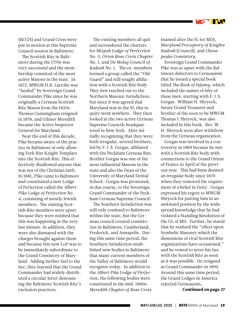

(KCCH) and Grand Cross were put in motion at this Supreme Council session in Baltimore.

The Scottish Rite in Baltimore during the 1770s was very successful and the membership consisted of the most active Masons in the state. In 1872, MWGM H.B. Latrobe was "healed" by Sovereign Grand Commander Pike since he was originally a Cerneau Scottish Rite Mason from the 1820s. Thomas Cunningham resigned in 1878, and Gilmor Meredith became the Active Inspector General for Maryland.

Near the end of this decade, Pike became aware of the practice in Baltimore of only allowing York Rite Knight Templars into the Scottish Rite. This effectively disallowed anyone that was not of the Christian faith. In 1881, Pike came to Baltimore and constituted a new Lodge of Perfection called the *Albert Pike Lodge of Perfection No. 4*, consisting of mostly Jewish members. The existing Scottish Rite members were upset because they were notified that this was happening at the very last minute. In addition, they were also dismayed with the charges brought against them and because this new LoP was to be immediately subordinate to the Grand Consistory of Maryland. Adding further fuel to the fire, they learned that the Grand Commander had widely distributed a circular letter denouncing the Baltimore Scottish Rite's exclusion practices.

The existing members all quit and surrendered the charters for *Mizpah Lodge of Perfection No. 3, Orion Rose Croix Chapter No. 1, and De Molay Council of Kadosh No. 1.* The ex-members formed a group called the "Old Guard" and still sought affiliation with a Scottish Rite body. They first reached out to the Northern Masonic Jurisdiction, but since it was agreed that Maryland was in the SJ, this inquiry went nowhere. They then looked at the two active Cerneau Supreme Councils headquartered in New York. After initially recognizing that they were both irregular, several brothers, led by F. J. S. Gorgas, affiliated with the Peckham Cerneau Rite. Brother Gorgas was one of the most influential Masons in the state and also the Dean of the University of Maryland Dental School. Gorgas was promoted, in due course, to the Sovereign Grand Commander of the Peckham Cerneau Supreme Council.

The Southern Jurisdiction was still only confined to Baltimore within the state, but the Cerneau council created consistories in Baltimore, Cumberland, Frederick, and Annapolis. During this same time period, the Southern Jurisdiction established new bodies in Baltimore that many current members of the Valley of Baltimore would recognize today. In addition to the *Albert Pike Lodge of Perfection*, the following bodies were constituted in the mid-1880s: *Meredith Chapter of Rose Croix*

(named after the IG for MD), *Maryland Preceptory of Knights Kadosh* (Council), and *Chesapeake Consistory*.

Sovereign Grand Commander Pike was so upset with the Baltimore defectors to Cerneauism that he issued a special book titled *The Book of Infamy*, which included the names of fifty of these men, starting with F. J. S. Gorgas. William H. Shryock, future Grand Treasurer and brother of the soon to be MWGM Thomas J. Shryock, was also included in this book. Bro. W. H. Shryock soon after withdrew from the Cerneau organization.

Gorgas was involved in a controversy in 1889 because he met with a Scottish Rite body with connections to the Grand Orient of France in April of the previous year. This had been deemed an irregular body since 1870 when they removed the requirement of a belief in Deity. Gorgas expressed his regret to MWGM Shryock for putting him in an awkward position by the widespread knowledge that he had violated a Standing Resolution of the GL of MD. Further, he stated that he realized the "effect upon Symbolic Masonry which the dissensions of rival Scottish Rite organizations have occasioned," and he vowed to sever his ties with the Scottish Rite as soon as it was possible. He resigned as Grand Commander in 1890. Around this same time period, the Grand Lodges in America rejected Cerneausim,

*Continued on page 27*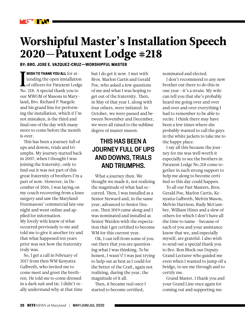

# Worshipful Master's Installation Speech 2020—Patuxent Lodge #218

### **BY: BRO. JOSE E. VAZQUEZ-CRUZ—WORSHIPFUL MASTER**

WISH TO THANK YOU ALL for at-<br>tending the open installation<br>of officers for Patuxent Lodge **WISH TO THANK YOU ALL** for attending the open installation No. 218. A special thank you to our MWGM of Masons in Maryland, Bro. Richard P. Naegele and his grand line for performing the installation, which if I'm not mistaken, is the third and final one of the day with many more to come before the month is over.

This has been a journey full of ups and downs, trials and triumphs. My journey started back in 2007, when I thought I was joining the fraternity, only to find out it was not part of this great fraternity of brothers I'm a part of now. However, in December of 2016, I was laying on my couch recovering from a knee surgery and saw the Maryland Freemasons' commercial late one night and went online and applied for information. My lovely wife knew of what occurred previously to me and told me to give it another try and that what happened ten years prior was not how the fraternity truly was.

So, I get a call in February of 2017 from then WM Kenyatta Galbreth, who invited me to come meet and greet the brethren. He told me to come dressed in a dark suit and tie. I didn't really understand why at that time but I do get it now. I met with Bros. Marlon Curtís and Gerald Poe, who asked a few questions of me and what I was hoping to get out of the fraternity. Then, in May of that year I, along with four others, were initiated. In October, we were passed and between November and December, we were all raised to the sublime degree of master mason.

### **THIS HAS BEEN A JOURNEY FULL OF UPS AND DOWNS, TRIALS AND TRIUMPHS.**

What a journey then. We thought we made it, not realizing the magnitude of what had occurred. Then, I was installed as a Senior Steward and, in the same year, advanced to Senior Deacon. Then 2019 came along and I was nominated and installed as Senior Warden with the expectation that I get certified to become WM for this current year.

Ok, I can tell from some of you out there that you are questioning what I was thinking. To be honest, I wasn't! I was just trying to help out as best as I could for the better of the Craft, again not realizing, during the year, the magnitude of it all.

Then, it became real once I started to become certified,

nominated and elected.

I don't recommend to any new brother out there to do this in one year—it's a strain. My wife can tell you that she's probably heard me going over and over and over and over everything I had to remember to be able to recite. I think there may have been a few times where she probably wanted to call the guys in the white jackets to take me to the happy place.

I say all this because the journey for me was well worth it especially to see the brothers in Patuxent Lodge No.218 come together in such strong support to help me along to become certified so this day could happen.

To all our Past Masters, Bros. Gerald Poe, Marlon Curtis, Kenyatta Galbreth, Melvin Mason, Melvin Harrison, Rudy McCumber, William Hines and a slew of others for which I don't have all the time to name - because of each of you and your assistance know that we, and especially myself, are grateful. I also wish to send out a special thank you to Bro. Ron Block our Deputy Grand Lecturer who guided me even when I wanted to jump off a bridge, to see me through and to certify me.

Grand Master, I thank you and your Grand Line once again for coming out and supporting me.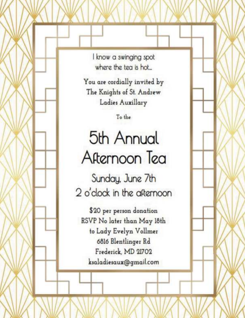I know a swinging spot where the tea is hot...

You are cordially invited by The Knights of St. Andrew Ladies Auxillary

To the

# 5th Annual Afternoon Tea

Sunday, June 7th 2 o'clock in the afternoon

\$20 per person donation RSVP No later than May 18th to Lady Evelyn Vollmer 6816 Blentlinger Rd Frederick, MD 21702 ksaladiesaux@gmail.com

**MAY/JUN/JUL 2020** | RITENEWS of Maryland 21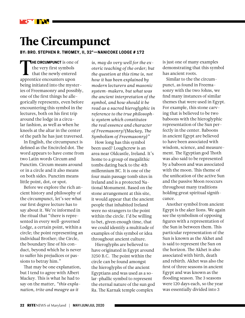

# The Circumpunct

#### **BY: BRO. STEPHEN R. TWOMEY, II, 32°—NANICOKE LODGE # 172**

THE CIRCUMPUNCT is one of<br>the very first symbols<br>that the newly entered **HE CIRCUMPUNCT** is one of the very first symbols apprentice encounters upon being initiated into the mysteries of Freemasonry and possibly, one of the first things he allegorically represents, even before encountering this symbol in the lectures, both on his first trip around the lodge in a circular fashion, as well as when he kneels at the altar in the center of the path he has just traversed.

In English, the circumpunct is defined as the Encircled dot. The word appears to have come from two Latin words Circum and Punctim. Circum means around or in a circle and it also means on both sides. Punctim means little point, dot, or spot.

Before we explore the rich ancient history and philosophy of the circumpunct, let's see what our first degree lecture has to say about it. We're informed in the ritual that "there is represented in every well-governed Lodge, a certain point, within a circle; the point representing an individual Brother; the Circle, the boundary line of his conduct, beyond which he is never to suffer his prejudices or passions to betray him."

That may be one explanation, but I tend to agree with Albert Mackey. This is what he had to say on the matter, *"this explanation, trite and meagre as it* 

*is, may do very well for the exoteric teaching of the order; but the question at this time is, not how it has been explained by modern lecturers and masonic system-makers, but what was the ancient interpretation of the symbol, and how should it be read as a sacred hieroglyphic in reference to the true philosophic system which constitutes the real essence and character of Freemasonry?(Mackey, The Symbolism of Freemasonry)"*

How long has this symbol been used? Loughcrew is an area near Oldcastle, Ireland. It's home to a group of megalithic tombs dating back to the 4th millennium BC. It is one of the four main passage tomb sites in Ireland and is a protected National Monument. Based on the stone arrangement at this site, it would appear that the ancient people that inhabited Ireland were no strangers to the point within the circle. I'd be willing to bet, given enough time, that we could identify a multitude of examples of this symbol or idea throughout ancient culture.

Hieroglyphs are believed to have originated in Egypt around 3250 B.C. The point within the circle can be found amongst the hieroglyphs of the ancient Egyptians and was used as a solar-phallic symbol to represent the eternal nature of the sun god Ra. The Karnak temple complex

is just one of many examples demonstrating that this symbol has ancient roots.

Similar to the the circumpunct, as found in Freemasonry with the two Johns, we find many instances of similar themes that were used in Egypt. For example, this stone carving that is believed to be two baboons with the hieroglyphic representation of the Sun perfectly in the center. Baboons in ancient Egypt are believed to have been associated with wisdom, science, and measurement. The Egyptian god Thoth was also said to be represented by a baboon and was associated with the moon. This theme of the unification of the active Sun and the passive Moon reoccurs throughout many traditions holding great spiritual significance.

Another symbol from ancient Egypt is the aker lions. We again see the symbolism of opposing figures with a representation of the Sun in between them. This particular representation of the Sun is known as the Akhet and is said to represent the Sun on the horizon. The Akhet is also associated with birth, death and rebirth. Akhet was also the first of three seasons in ancient Egypt and was known as the flooding season. The 3 seasons were 120 days each, so the year was essentially divided into 3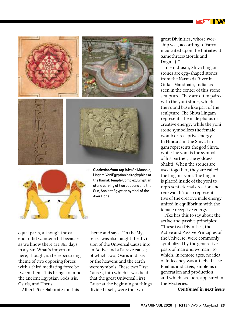





**Clockwise from top left:** Sri Mansala, Lingam-YoniEgyptian heiroglyphics at the Karnak Temple Complex, Egyptian stone carving of two baboons and the Sun, Ancient Egyptian symbol of the Aker Lions.

equal parts, although the calendar did wander a bit because as we know there are 365 days in a year. What's important here, though, is the reoccurring theme of two opposing forces with a third mediating force between them. This brings to mind the ancient Egyptian Gods Isis, Osiris, and Horus.

Albert Pike elaborates on this

theme and says: "In the Mysteries was also taught the division of the Universal Cause into an Active and a Passive cause; of which two, Osiris and Isis or the heavens and the earth were symbols. These two First Causes, into which it was held that the great Universal First Cause at the beginning of things divided itself, were the two

great Divinities, whose worship was, according to Varro, inculcated upon the Initiates at Samothrace(Morals and Dogma)."

In Hinduism, Shiva Lingam stones are egg-shaped stones from the Narmada River in Onkar Mandhata, India, as seen in the center of this stone sculpture. They are often paired with the yoni stone, which is the round base like part of the sculpture. The Shiva Lingam represents the male phalus or creative energy, while the yoni stone symbolizes the female womb or receptive energy. In Hinduism, the Shiva Lingam represents the god Shiva, while the yoni is the symbol of his partner, the goddess Shakti. When the stones are used together, they are called the lingam-yoni. The lingam is placed inside of the yoni to represent eternal creation and renewal. It's also representative of the creative male energy united in equilibrium with the female receptive energy.

Pike has this to say about the active and passive principles: "These two Divinities, the Active and Passive Principles of the Universe, were commonly symbolized by the generative pasts of man and woman ; to which, in remote ages, no idea of indecency was attached ; the Phallus and Cteis, emblems of generation and production, and which, as such, appeared in the Mysteries.

*Continued in next issue*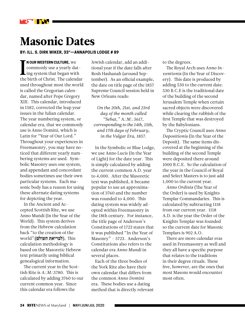

### Masonic Dates

**BY: ILL. S. DIRK WIKER, 33°—ANNAPOLIS LODGE # 89**

**N OUR WESTERN CULTURE,** we

**N OUR WESTERN CULTURE, We commonly use a yearly dat-**<br>ing system that began with commonly use a yearly datthe birth of Christ. The calendar used throughout most the world is called the Gregorian calendar, named after Pope Gregory XIII. This calendar, introduced in 1582, corrected the leap year issues in the Julian calendar. The year numbering system, or calendar era, that we commonly use is Anno Domini, which is Latin for "Year of Our Lord." Throughout your experiences in Freemasonry, you may have noticed that different yearly numbering systems are used. Symbolic Masonry uses one system, and appendant and concordant bodies sometimes use their own particular systems. Each masonic body has a reason for using these alternate dating systems for depicting the year.

In the Ancient and Accepted Scottish Rite, we use Anno Mundi (In the Year of the World). This system derives from the Hebrew calculation back "to the creation of the  $world$ " (לבריאת העולם). This calculation methodology is based on the Masoretic Hebrew text primarily using biblical genealogical information.

The current year in the Scottish Rite is *A.. . M.. .* 5780. This is calculated by adding 3760 to our current common year. Since this calendar era follows the

Jewish calendar, add an additional year if the date falls after Rosh Hashanah (around September). As an official example, the date on title page of the 1857 Supreme Council session held in New Orleans reads:

*On the 20th, 21st, and 23rd day of the month called "Sebat," A.. . M.. . 5617, corresponding to the 14th, 15th, and 17th days of February, in the Vulgar Era, 1857.* 

In the Symbolic or Blue Lodge, we use Anno Lucis (In the Year of Light) for the date year. This is simply calculated by adding the current common A.D. year to 4,000. After the Masoretic text was published, it became popular to use an approximation of 3760 and the number was rounded to 4,000. This dating system was widely adopted within Freemasonry in the 18th century. For instance, the title page of Anderson's Constitutions of 1723 states that it was published "In the Year of Masonry" - 5723. Anderson's Constitutions also refers to the calendar era *Anno Mundi* in several places.

Each of the three bodies of the York Rite also have their own calendar that differs from the common *Anno Domini* era. These bodies use a dating method that is directly relevant to the degrees.

The Royal Arch uses A*nno Inventionis* (In the Year of Discovery). This date is produced by adding 530 to the current date. 530 B.C.E is the traditional date of the building of the second Jerusalem Temple when certain sacred objects were discovered while clearing the rubbish of the first Temple that was destroyed by the Babylonians.

The Cryptic Council uses *Anno Depositionis* (In the Year of the Deposit). The same items discovered at the beginning of the building of the second Temple were deposited there around 1000 B.C.E. So the calculation of the year in the Council of Royal and Select Masters is to just add 1,000 to the current year.

*Anno Ordinis* (The Year of the Order) is used by Knights Templar Commandaries. This is calculated by subtracting 1118 from our current year. 1118 A.D. is the year the Order of the Knights Templar was founded so the current date for Masonic Templars is 902 A.O.

There are more calendar eras used in Freemasonry as well and they all have a specific purpose that relates to the traditions in their degree rituals. These five, however, are the ones that most Masons would encounter most often.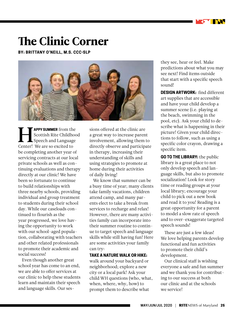

### The Clinic Corner

**BY: BRITTANY O'NEILL, M.S. CCC-SLP**



H **APPY SUMMER** from the Scottish Rite Childhood Speech and Language Center! We are so excited to be completing another year of servicing contracts at our local private schools as well as continuing evaluations and therapy directly at our clinic! We have been so fortunate to continue to build relationships with three nearby schools, providing individual and group treatment to students during their school day. While our caseloads continued to flourish as the year progressed, we love having the opportunity to work with our school-aged population, collaborating with teachers and other related professionals to promote their academic and social success!

Even though another great school year has come to an end, we are able to offer services at our clinic to help these students learn and maintain their speech and language skills. Our sessions offered at the clinic are a great way to increase parent involvement, allowing them to directly observe and participate in therapy, increasing their understanding of skills and using strategies to promote at home during their activities of daily living!

We know that summer can be a busy time of year; many clients take family vacations, children attend camp, and many parents elect to take a break from services to recharge and relax! However, there are many activities family can incorporate into their summer routine to continue to target speech and language skills while still having fun! Here are some activities your family can try:

### **TAKE A NATURE WALK OR HIKE:**

walk around your backyard or neighborhood; explore a new city or a local park! Ask your child WH questions (who, what, when, where, why, how) to prompt them to describe what

they see, hear or feel. Make predictions about what you may see next! Find items outside that start with a specific speech sound!

**DESIGN ARTWORK:** find different art supplies that are accessible and have your child develop a summer scene (i.e. playing at the beach, swimming in the pool, etc). Ask your child to describe what is happening in their picture! Given your child directions to follow, such as using a specific color crayon, drawing a specific item.

**GO TO THE LIBRARY:** the public library is a great place to not only develop speech and language skills, but also to promote socialization! Look for story time or reading groups at your local library; encourage your child to pick out a new book and read it to you! Reading is a great opportunity for a parent to model a slow rate of speech and to over-exaggerate targeted speech sounds!

These are just a few ideas! We love helping parents develop functional and fun activities to promote their child's development.

Our clinical staff is wishing everyone a safe and fun summer and we thank you for contributing to our success at both our clinic and at the schools we service!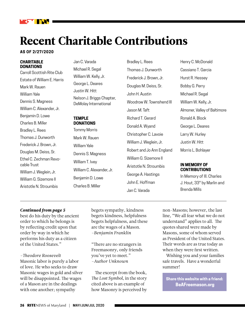

# Recent Charitable Contributions

### **AS OF 2/27/2020**

### **CHARITABLE DONATIONS**

Carroll Scottish Rite Club Estate of William E. Harris Mark W. Rauen William Yale Dennis S. Magness William C. Alexander, Jr. Benjamin D. Lowe Charles B. Miller Bradley L. Rees Thomas J. Dunworth Frederick J. Brown, Jr. Douglas M. Deiss, Sr. Ethel C. Zechman Revocable Trust William J. Weglein, Jr. William G. Sizemore II Aristotle N. Stroumbis

Jan C. Varada Michael R. Segal William W. Kelly, Jr. George L. Deares Justin W. Hitt Nelson J. Briggs Chapter, DeMolay International

### **TEMPLE DONATIONS**

Tommy Morris Mark W. Rauen William Yale Dennis S. Magness William T. Ivey William C. Alexander, Jr. Benjamin D. Lowe Charles B. Miller

Bradley L. Rees Thomas J. Dunworth Frederick J. Brown, Jr. Douglas M. Deiss, Sr. John H. Austin Woodrow W. Townshend III Jason M. Taft Richard T. Gerard Donald A. Wyand Christopher C. Lavoie William J. Weglein, Jr. Robert and Jo Ann England William G. Sizemore II Aristotle N. Stroumbis George A. Hastings John E. Hoffman Jan C. Varada

Henry C. McDonald Cassiano T. Garcia Hurst R. Hessey Bobby G. Perry Michael R. Segal William W. Kelly, Jr. Almoner, Valley of Baltimore Ronald A. Block George L. Deares Larry W. Hurley Justin W. Hitt Morris L. Bohlayer

#### **IN MEMORY OF CONTRIBUTIONS**

In Memory of Ill. Charles J. Hout, 33° by Marlin and Brenda Mills

### *Continued from page 5*

best do his duty by the ancient order to which he belongs is by reflecting credit upon that order by way in which he performs his duty as a citizen of the United States."

*–Theodore Roosevelt* Masonic labor is purely a labor of love. He who seeks to draw Masonic wages in gold and silver will be disappointed. The wages of a Mason are in the dealings with one another; sympathy

begets sympathy, kindness begets kindness, helpfulness begets helpfulness, and these are the wages of a Mason. *–Benjamin Franklin*

"There are no strangers in Freemasonry, only friends you've yet to meet." *–Author Unknown*

The excerpt from the book, *The Lost Symbol*, in the story cited above is an example of how Masonry is perceived by non-Masons; however, the last line, "We all fear what we do not understand" applies to all. The quotes shared were made by Masons, some of whom served as President of the United States. Their words are as true today as when they were first written.

Wishing you and your families safe travels. Have a wonderful summer!

**Share this website with a friend: BeAFreemason.org**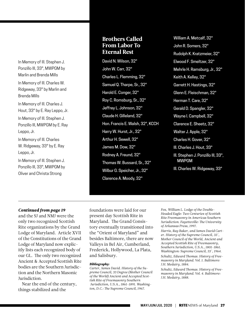In Memory of Ill. Stephen J. Ponzillo III, 33°, MWPGM by Marlin and Brenda Mills

In Memory of Ill. Charles W. Ridgeway, 33° by Marlin and Brenda Mills

In Memory of Ill. Charles J. Hout, 33° by E. Ray Leppo, Jr.

In Memory of Ill. Stephen J. Ponzillo III, MWPGM by E. Ray Leppo, Jr.

In Memory of Ill. Charles W. Ridgeway, 33° by E. Ray Leppo, Jr.

In Memory of Ill. Stephen J. Ponzillo III, 33°, MWPGM by Oliver and Christa Strong

### Brothers Called From Labor To Eternal Rest

David N. Wilson, 32° John W. Carr, 32° Charles L. Flemming, 32° Samuel Q. Tharpe, Sr., 32° Harold E. Conger, 32° Roy C. Romsburg, Sr., 32° Jeffrey L. Johnson, 32° Claude H. Gilleland, 32° Hon. Francis E. Walsh, 32°, KCCH Harry W. Hurst, Jr., 32° Arthur H. Sewell, 32° James M. Dow, 32° Rodney A. Freund, 32° Thomas W. Bussard, Sr., 32° Wilbur G. Speicher, Jr., 32° Clarence A. Moody, 32°

William A. Metcalf, 32° John R. Somers, 32° Rudolph K. Kratzmeier, 32° Elwood F. Smeltzer, 32° Mehrle H. Ramsburg, Jr., 32° Keith A. Kelley, 32° Garrett H. Hastings, 32° Glenn E. Fleischman, 32° Herman T. Care, 32° Gerald D. Spangler, 32° Wayne I. Campbell, 32° Clarence E. Sheetz, 32° Walter J. Apple, 32° Charles H. Gover, 32° Ill. Charles J. Hout, 33° Ill. Stephen J. Ponzillo III, 33°, MWPGM Ill. Charles W. Ridgeway, 33°

### *Continued from page 19*

and the SJ and NMJ were the only two recognized Scottish Rite organizations by the Grand Lodge of Maryland. Article XVII of the Constitutions of the Grand Lodge of Maryland now explicitly lists each recognized body of our GL. The only two recognized Ancient & Accepted Scottish Rite bodies are the Southern Jurisdiction and the Northern Masonic Jurisdiction.

Near the end of the century, things stabilized and the

foundations were laid for our present day Scottish Rite in Maryland. The Grand Consistory eventually transitioned into the "Orient of Maryland" and besides Baltimore, there are now Valleys in Bel Air, Cumberland, Frederick, Hollywood, La Plata, and Salisbury.

#### *Bibliography:*

*Carter, James David. History of the Supreme Council, 33 Degree (Mother Council of the World) Ancient and Accepted Scottish Rite of Freemasonry Southern Jurisdiction, U.S.A., 1861-1891. Washington, D.C.: The Supreme Council, 1967.*

*Fox, William L. Lodge of the Double-Headed Eagle: Two Centuries of Scottish Rite Freemasonry in Americas Southern Jurisdiction. Fayetteville: The University of Arkansas Press, 1997.*

*Harris, Ray Baker, and James David Carter. History of the Supreme Council, 33°, Mother Council of the World, Ancient and Accepted Scottish Rite of Freemasonry, Southern Jurisdiction, U.S.A., 1801-1861. Washington: Supreme Council, 33°, 1964. Schultz, Edward Thomas. History of Freemasonry in Maryland. Vol. 1. Baltimore: J.H. Medairy, 1884.*

*Schultz, Edward Thomas. History of Freemasonry in Maryland. Vol. 4. Baltimore: J.H. Medairy, 1888.*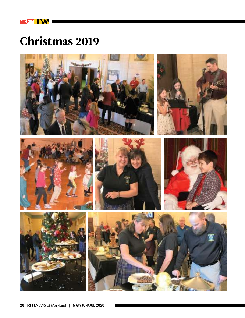

# Christmas 2019

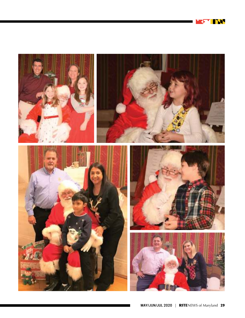![](_page_28_Picture_0.jpeg)

![](_page_28_Picture_1.jpeg)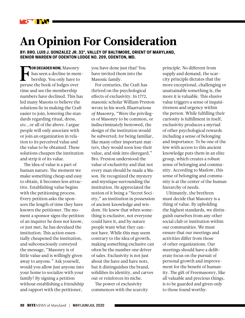![](_page_29_Picture_0.jpeg)

# An Opinion For Consideration

#### **BY: BRO. LUIS J. GONZALEZ JR. 32°, VALLEY OF BALTIMORE, ORIENT OF MARYLAND, SENIOR WARDEN OF ODENTON LODGE NO. 209, ODENTON, MD.**

F **TOR DECADES NOW, Masonry** has seen a decline in membership. You only have to peruse the book of lodges over time and see the membership numbers have declined. This has led many Masons to believe the solutions lie in making the Craft easier to join, lowering the standards regarding ritual, dress, etc., or all of the above. I argue people will only associate with or join an organization in relation to its perceived value and the value to be obtained. These solutions cheapen the institution and strip it of its value.

The idea of value is a part of human nature. The moment we make something cheap and easy to obtain, it becomes less attractive. Establishing value begins with the petitioning process. Every petition asks the sponsors the length of time they have known the petitioner. The moment a sponsor signs the petition of an inquirer he does not know, or just met, he has devalued the institution. This action essentially cheapened the institution, and subconsciously conveyed the message, "Masonry is of little value and is willingly given away to anyone." Ask yourself, would you allow just anyone into your home to socialize with your family? By signing a petition without establishing a friendship and rapport with the petitioner,

you have done just that! You have invited them into the Masonic family.

For centuries, the Craft has thrived on the psychological effects of exclusivity. In 1772, masonic scholar William Preston wrote in his work *Illustrations of Masonry*, "Were the privileges of Masonry to be common, or indiscriminately bestowed, the design of the institution would be subverted; for being familiar, like many other important matters, they would soon lose their value, and sink into disregard." Bro. Preston understood the value of exclusivity and that not every man should be made a Mason. He recognized the mystery and mystique surrounding the institution. He appreciated the notion of it being a "Secret Society," an institution in possession of ancient knowledge and wisdom. He knew that when something is exclusive, not everyone could have it, and by nature people want what they cannot have. While this may seem contrary to the idea of growth, making something exclusive can often be the number one driver of sales. Exclusivity is not just about the have and have nots, but it distinguishes the brand, solidifies its identity, and carves out or reinforces its niche.

The power of exclusivity commences with the scarcity principle. No different from supply and demand, the scarcity principle dictates that the more exceptional, challenging or unattainable something is, the more it is valuable. This elusive value triggers a sense of inquisitiveness and urgency within the person. While fulfilling their curiosity is fulfillment in itself, exclusivity produces a myriad of other psychological rewards including a sense of belonging and importance. To be one of the few with access to this ancient knowledge puts them in an elite group, which creates a robust sense of belonging and community. According to Maslow, this sense of belonging and community is at the center of the human hierarchy of needs.

Ultimately, the brethren must decide that Masonry is a thing of value. By upholding the highest standards, we distinguish ourselves from any other social club or institution within our communities. We must ensure that our meetings and activities differ from those of other organizations. Our meetings should have a deliberate focus on the pursuit of personal growth and improvement for the benefit of humanity. The gift of Freemasonry, like all valuable and precious things, is to be guarded and given only to those found worthy.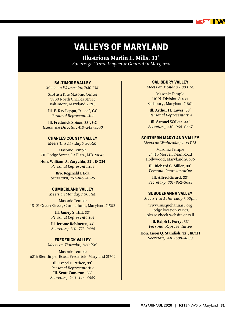![](_page_30_Picture_0.jpeg)

### **VALLEYS OF MARYLAND**

Illustrious Marlin L. Mills, 33° *Sovereign Grand Inspector General in Maryland*

#### **BALTIMORE VALLEY**

*Meets on Wednesday 7:30 P.M.*

Scottish Rite Masonic Center 3800 North Charles Street Baltimore, Maryland 21218

Ill. E. Ray Leppo, Jr., 33°, GC *Personal Representative*

Ill. Frederick Spicer, 33°, GC *Executive Director, 410-243-3200*

#### **CHARLES COUNTY VALLEY**

*Meets Third Friday 7:30 P.M.*

Masonic Temple 710 Lodge Street, La Plata, MD 20646

Hon. William A. Zarychta, 32°, KCCH *Personal Representative*

> Bro. Reginald J. Eda *Secretary, 757-869-4596*

#### **CUMBERLAND VALLEY** *Meets on Monday 7:30 P.M.*

Masonic Temple 15-21 Green Street, Cumberland, Maryland 21502

> Ill. Jamey S. Hill, 33° *Personal Representative*

Ill. Jerome Robinette, 33° *Secretary, 301-777-0498*

#### **FREDERICK VALLEY**

*Meets on Thursday 7:30 P.M.*

Masonic Temple 6816 Blentlinger Road, Frederick, Maryland 21702

> Ill. Creed F. Parker, 33° *Personal Representative* Ill. Scott Cameron, 33° *Secretary, 240-446-4889*

#### **SALISBURY VALLEY**

*Meets on Monday 7:30 P.M.*

Masonic Temple 110 N. Division Street Salisbury, Maryland 21801

Ill. Arthur H. Tawes, 33° *Personal Representative*

Ill. Samuel Walker, 33° *Secretary, 410-968-0667*

#### **SOUTHERN MARYLAND VALLEY**

*Meets on Wednesday 7:00 P.M.*

Masonic Temple 24410 Mervell Dean Road Hollywood, Maryland 20636

Ill. Richard C. Miller, 33° *Personal Representative*

Ill. Alfred Girard, 33° *Secretary, 301-862-3683*

#### **SUSQUEHANNA VALLEY**

*Meets Third Thursday 7:00pm*

www.susquehannasr.org Lodge location varies, please check website or call

Ill. Ralph L. Perry, 33° *Personal Representative*

Hon. Jason Q. Standish, 32°, KCCH S*ecretary, 410-688-4688*